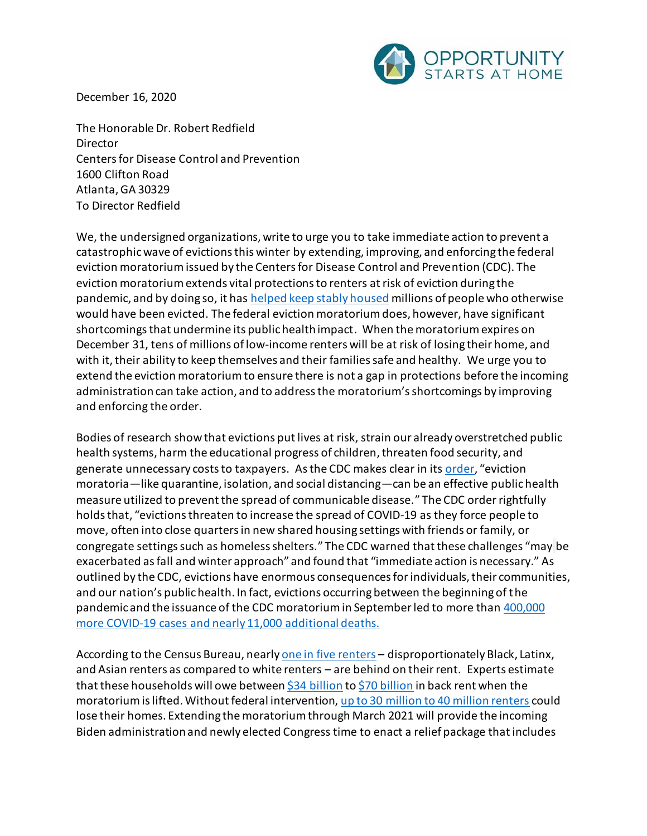

December 16, 2020

The Honorable Dr. Robert Redfield Director Centers for Disease Control and Prevention 1600 Clifton Road Atlanta, GA 30329 To Director Redfield

We, the undersigned organizations, write to urge you to take immediate action to prevent a catastrophic wave of evictions this winter by extending, improving, and enforcing the federal eviction moratorium issued by the Centers for Disease Control and Prevention (CDC). The eviction moratorium extends vital protections to renters atrisk of eviction during the pandemic, and by doing so, it has [helped keep stably housed](https://evictionlab.org/shifts-in-eviction-filings-from-cares-act-to-cdc-order/) millions of people who otherwise would have been evicted. The federal eviction moratorium does, however, have significant shortcomings that undermine its public health impact. When the moratorium expires on December 31, tens of millions of low-income renters will be at risk of losing their home, and with it, their ability to keep themselves and their families safe and healthy. We urge you to extend the eviction moratorium to ensure there is not a gap in protections before the incoming administration can take action, and to address the moratorium's shortcomings by improving and enforcing the order.

Bodies of research show that evictions put lives at risk, strain our already overstretched public health systems, harm the educational progress of children, threaten food security, and generate unnecessary costs to taxpayers. As the CDC makes clear in its [order](https://www.federalregister.gov/documents/2020/09/04/2020-19654/temporary-halt-in-residential-evictions-to-prevent-the-further-spread-of-covid-19), "eviction moratoria—like quarantine, isolation, and social distancing—can be an effective public health measure utilized to prevent the spread of communicable disease." The CDC orderrightfully holds that, "evictions threaten to increase the spread of COVID-19 as they force people to move, often into close quarters in new shared housing settings with friends or family, or congregate settings such as homeless shelters." The CDC warned that these challenges "may be exacerbated as fall and winter approach" and found that "immediate action is necessary." As outlined by the CDC, evictions have enormous consequences for individuals, their communities, and our nation's public health. In fact, evictions occurring between the beginning of the pandemic and the issuance of the CDC moratorium in September led to more than [400,000](https://papers.ssrn.com/sol3/papers.cfm?abstract_id=3739576)  [more COVID-19 cases and nearly 11,000 additional deaths.](https://papers.ssrn.com/sol3/papers.cfm?abstract_id=3739576)

According to the Census Bureau, nearl[y one in five renters](https://www.cbpp.org/research/poverty-and-inequality/tracking-the-covid-19-recessions-effects-on-food-housing-and) - disproportionately Black, Latinx, and Asian renters as compared to white renters – are behind on their rent. Experts estimate that these households will owe between [\\$34 billion](https://www.ncsha.org/ncsha-news/american-renters-will-owe-up-to-34-billion-in-back-rent-by-january/) t[o \\$70 billion](https://www.washingtonpost.com/business/2020/08/06/trump-eviction-moratorium/) in back rent when the moratorium is lifted. Without federal intervention[, up to 30 million to 40 million renters](https://www.aspeninstitute.org/blog-posts/the-covid-19-eviction-crisis-an-estimated-30-40-million-people-in-america-are-at-risk/) could lose their homes. Extending the moratorium through March 2021 will provide the incoming Biden administration and newly elected Congress time to enact a relief package that includes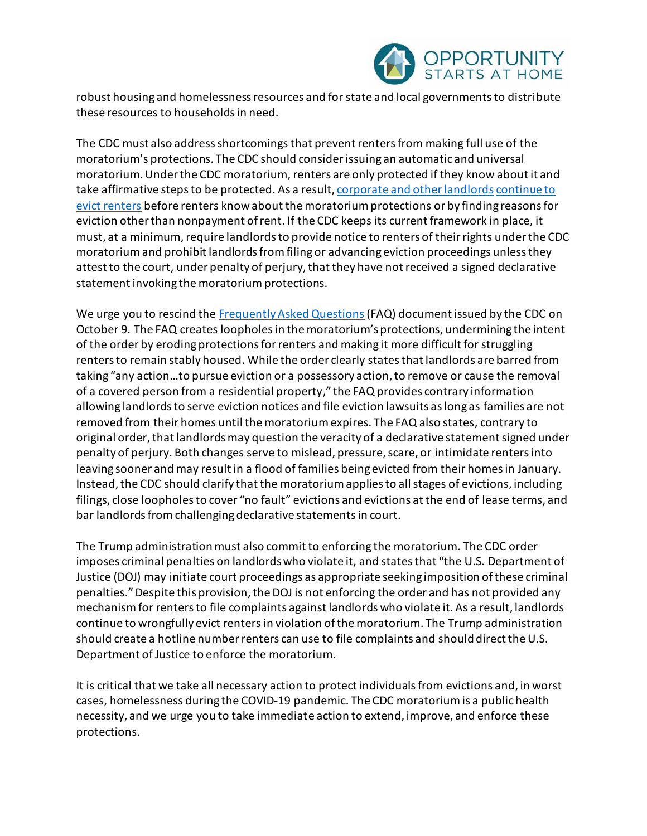

robust housing and homelessness resources and for state and local governments to distribute these resources to households in need.

The CDC must also address shortcomings that prevent renters from making full use of the moratorium's protections. The CDC should consider issuing an automatic and universal moratorium. Under the CDC moratorium, renters are only protected if they know about it and take affirmative steps to be protected. As a result, [corporate and other landlords](https://pestakeholder.org/eviction-filings-by-private-equity-firms-and-other-large-landlords-surge-despite-cdc-eviction-moratorium/) continue to [evict renters](https://www.thenation.com/article/society/evictions-tenants-covid/) before renters know about the moratorium protections or by finding reasons for eviction other than nonpayment of rent. If the CDC keeps its current framework in place, it must, at a minimum, require landlords to provide notice to renters of their rights under the CDC moratorium and prohibit landlords from filing or advancing eviction proceedings unless they attest to the court, under penalty of perjury, that they have not received a signed declarative statement invoking the moratorium protections.

We urge you to rescind the [Frequently Asked Questions](https://www.cdc.gov/coronavirus/2019-ncov/downloads/eviction-moratoria-order-faqs.pdf)(FAQ) document issued by the CDC on October 9. The FAQ creates loopholes in the moratorium's protections, undermining the intent of the order by eroding protections for renters and making it more difficult for struggling renters to remain stably housed. While the order clearly states that landlords are barred from taking "any action…to pursue eviction or a possessory action, to remove or cause the removal of a covered person from a residential property," the FAQ provides contrary information allowing landlords to serve eviction notices and file eviction lawsuits as long as families are not removed from their homes until the moratorium expires. The FAQ also states, contrary to original order,that landlords may question the veracity of a declarative statement signed under penalty of perjury. Both changes serve to mislead, pressure, scare, or intimidate renters into leaving sooner and may result in a flood of families being evicted from their homes in January. Instead, the CDC should clarify that the moratorium applies to all stages of evictions, including filings, close loopholes to cover "no fault" evictions and evictions at the end of lease terms, and bar landlords from challenging declarative statementsin court.

The Trump administrationmust also commit to enforcing the moratorium. The CDC order imposes criminal penalties on landlords who violate it, and states that "the U.S. Department of Justice (DOJ) may initiate court proceedings as appropriate seeking imposition of these criminal penalties." Despite this provision, the DOJ is not enforcing the order and has not provided any mechanism for renters to file complaints against landlords who violate it. As a result, landlords continue to wrongfully evict renters in violation of the moratorium. The Trump administration should create a hotline number renters can use to file complaints and should direct the U.S. Department of Justice to enforce the moratorium.

It is critical that we take all necessary action to protect individuals from evictions and, in worst cases, homelessness during the COVID-19 pandemic. The CDC moratorium is a public health necessity, and we urge you to take immediate action to extend, improve, and enforce these protections.